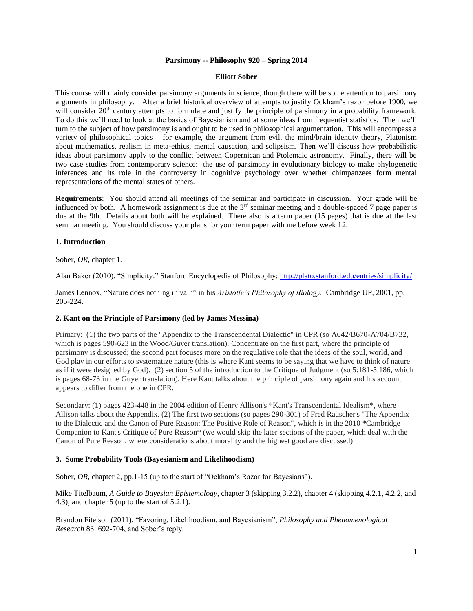#### **Parsimony -- Philosophy 920 – Spring 2014**

#### **Elliott Sober**

This course will mainly consider parsimony arguments in science, though there will be some attention to parsimony arguments in philosophy. After a brief historical overview of attempts to justify Ockham's razor before 1900, we will consider 20<sup>th</sup> century attempts to formulate and justify the principle of parsimony in a probability framework. To do this we'll need to look at the basics of Bayesianism and at some ideas from frequentist statistics. Then we'll turn to the subject of how parsimony is and ought to be used in philosophical argumentation. This will encompass a variety of philosophical topics – for example, the argument from evil, the mind/brain identity theory, Platonism about mathematics, realism in meta-ethics, mental causation, and solipsism. Then we'll discuss how probabilistic ideas about parsimony apply to the conflict between Copernican and Ptolemaic astronomy. Finally, there will be two case studies from contemporary science: the use of parsimony in evolutionary biology to make phylogenetic inferences and its role in the controversy in cognitive psychology over whether chimpanzees form mental representations of the mental states of others.

**Requirements**: You should attend all meetings of the seminar and participate in discussion. Your grade will be influenced by both. A homework assignment is due at the  $3<sup>rd</sup>$  seminar meeting and a double-spaced 7 page paper is due at the 9th. Details about both will be explained. There also is a term paper (15 pages) that is due at the last seminar meeting. You should discuss your plans for your term paper with me before week 12.

### **1. Introduction**

Sober, *OR*, chapter 1.

Alan Baker (2010), "Simplicity." Stanford Encyclopedia of Philosophy:<http://plato.stanford.edu/entries/simplicity/>

James Lennox, "Nature does nothing in vain" in his *Aristotle's Philosophy of Biology.* Cambridge UP, 2001, pp. 205-224.

#### **2. Kant on the Principle of Parsimony (led by James Messina)**

Primary: (1) the two parts of the "Appendix to the Transcendental Dialectic" in CPR (so A642/B670-A704/B732, which is pages 590-623 in the Wood/Guyer translation). Concentrate on the first part, where the principle of parsimony is discussed; the second part focuses more on the regulative role that the ideas of the soul, world, and God play in our efforts to systematize nature (this is where Kant seems to be saying that we have to think of nature as if it were designed by God). (2) section 5 of the introduction to the Critique of Judgment (so 5:181-5:186, which is pages 68-73 in the Guyer translation). Here Kant talks about the principle of parsimony again and his account appears to differ from the one in CPR.

Secondary: (1) pages 423-448 in the 2004 edition of Henry Allison's \*Kant's Transcendental Idealism\*, where Allison talks about the Appendix. (2) The first two sections (so pages 290-301) of Fred Rauscher's "The Appendix to the Dialectic and the Canon of Pure Reason: The Positive Role of Reason", which is in the 2010 \*Cambridge Companion to Kant's Critique of Pure Reason\* (we would skip the later sections of the paper, which deal with the Canon of Pure Reason, where considerations about morality and the highest good are discussed)

#### **3. Some Probability Tools (Bayesianism and Likelihoodism)**

Sober, *OR*, chapter 2, pp.1-15 (up to the start of "Ockham's Razor for Bayesians").

Mike Titelbaum, *A Guide to Bayesian Epistemology*, chapter 3 (skipping 3.2.2), chapter 4 (skipping 4.2.1, 4.2.2, and 4.3)*,* and chapter 5 (up to the start of 5.2.1).

Brandon Fitelson (2011), "Favoring, Likelihoodism, and Bayesianism", *Philosophy and Phenomenological Research* 83: 692-704, and Sober's reply.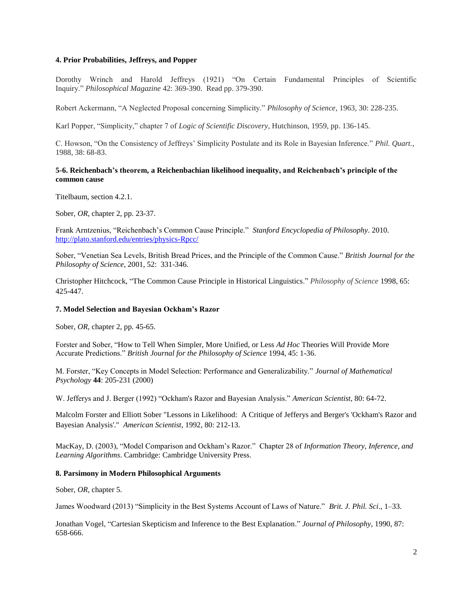## **4. Prior Probabilities, Jeffreys, and Popper**

Dorothy Wrinch and Harold Jeffreys (1921) "On Certain Fundamental Principles of Scientific Inquiry." *Philosophical Magazine* 42: 369-390. Read pp. 379-390.

Robert Ackermann, "A Neglected Proposal concerning Simplicity." *Philosophy of Science*, 1963, 30: 228-235.

Karl Popper, "Simplicity," chapter 7 of *Logic of Scientific Discovery*, Hutchinson, 1959, pp. 136-145.

C. Howson, "On the Consistency of Jeffreys' Simplicity Postulate and its Role in Bayesian Inference." *Phil. Quart.*, 1988, 38: 68-83.

## **5-6. Reichenbach's theorem, a Reichenbachian likelihood inequality, and Reichenbach's principle of the common cause**

Titelbaum, section 4.2.1.

Sober, *OR*, chapter 2, pp. 23-37.

Frank Arntzenius, "Reichenbach's Common Cause Principle." *Stanford Encyclopedia of Philosophy*. 2010. <http://plato.stanford.edu/entries/physics-Rpcc/>

Sober, "Venetian Sea Levels, British Bread Prices, and the Principle of the Common Cause." *British Journal for the Philosophy of Science*, 2001, 52: 331-346.

Christopher Hitchcock, "The Common Cause Principle in Historical Linguistics." *Philosophy of Science* 1998, 65: 425-447.

#### **7. Model Selection and Bayesian Ockham's Razor**

Sober, *OR*, chapter 2, pp. 45-65.

Forster and Sober, "How to Tell When Simpler, More Unified, or Less *Ad Hoc* Theories Will Provide More Accurate Predictions." *British Journal for the Philosophy of Science* 1994, 45: 1-36.

M. Forster, "Key Concepts in Model Selection: Performance and Generalizability." *Journal of Mathematical Psychology* **44**: 205-231 (2000)

W. Jefferys and J. Berger (1992) "Ockham's Razor and Bayesian Analysis." *American Scientist*, 80: 64-72.

Malcolm Forster and Elliott Sober "Lessons in Likelihood: A Critique of Jefferys and Berger's 'Ockham's Razor and Bayesian Analysis'." *American Scientist*, 1992, 80: 212-13.

MacKay, D. (2003), "Model Comparison and Ockham's Razor." Chapter 28 of *Information Theory, Inference, and Learning Algorithms*. Cambridge: Cambridge University Press.

#### **8. Parsimony in Modern Philosophical Arguments**

Sober, *OR*, chapter 5.

James Woodward (2013) "Simplicity in the Best Systems Account of Laws of Nature." *Brit. J. Phil. Sci*., 1–33.

Jonathan Vogel, "Cartesian Skepticism and Inference to the Best Explanation." *Journal of Philosophy*, 1990, 87: 658-666.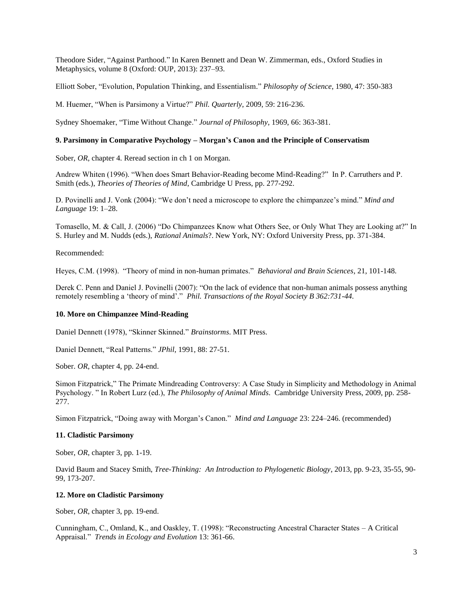Theodore Sider, "Against Parthood." In Karen Bennett and Dean W. Zimmerman, eds., Oxford Studies in Metaphysics, volume 8 (Oxford: OUP, 2013): 237–93.

Elliott Sober, "Evolution, Population Thinking, and Essentialism." *Philosophy of Science*, 1980, 47: 350-383

M. Huemer, "When is Parsimony a Virtue?" *Phil. Quarterly*, 2009, 59: 216-236.

Sydney Shoemaker, "Time Without Change." *Journal of Philosophy*, 1969, 66: 363-381.

## **9. Parsimony in Comparative Psychology – Morgan's Canon and the Principle of Conservatism**

Sober, *OR*, chapter 4. Reread section in ch 1 on Morgan.

Andrew Whiten (1996). "When does Smart Behavior-Reading become Mind-Reading?" In P. Carruthers and P. Smith (eds.), *Theories of Theories of Mind*, Cambridge U Press, pp. 277-292.

D. Povinelli and J. Vonk (2004): "We don't need a microscope to explore the chimpanzee's mind." *Mind and Language* 19: 1–28.

Tomasello, M. & Call, J. (2006) "Do Chimpanzees Know what Others See, or Only What They are Looking at?" In S. Hurley and M. Nudds (eds.), *Rational Animals*?. New York, NY: Oxford University Press, pp. 371-384.

Recommended:

Heyes, C.M. (1998). "Theory of mind in non-human primates." *Behavioral and Brain Sciences*, 21, 101-148.

Derek C. Penn and Daniel J. Povinelli (2007): "On the lack of evidence that non-human animals possess anything remotely resembling a 'theory of mind'." *Phil. Transactions of the Royal Society B 362:731-44.*

### **10. More on Chimpanzee Mind-Reading**

Daniel Dennett (1978), "Skinner Skinned." *Brainstorms*. MIT Press.

Daniel Dennett, "Real Patterns." *JPhil*, 1991, 88: 27-51.

Sober. *OR*, chapter 4, pp. 24-end.

Simon Fitzpatrick," The Primate Mindreading Controversy: A Case Study in Simplicity and Methodology in Animal Psychology. " In Robert Lurz (ed.), *The Philosophy of Animal Minds*. Cambridge University Press, 2009, pp. 258- 277.

Simon Fitzpatrick, "Doing away with Morgan's Canon." *Mind and Language* 23: 224–246. (recommended)

#### **11. Cladistic Parsimony**

Sober, *OR*, chapter 3, pp. 1-19.

David Baum and Stacey Smith, *Tree-Thinking: An Introduction to Phylogenetic Biology*, 2013, pp. 9-23, 35-55, 90- 99, 173-207.

#### **12. More on Cladistic Parsimony**

Sober, *OR*, chapter 3, pp. 19-end.

Cunningham, C., Omland, K., and Oaskley, T. (1998): "Reconstructing Ancestral Character States – A Critical Appraisal." *Trends in Ecology and Evolution* 13: 361-66.